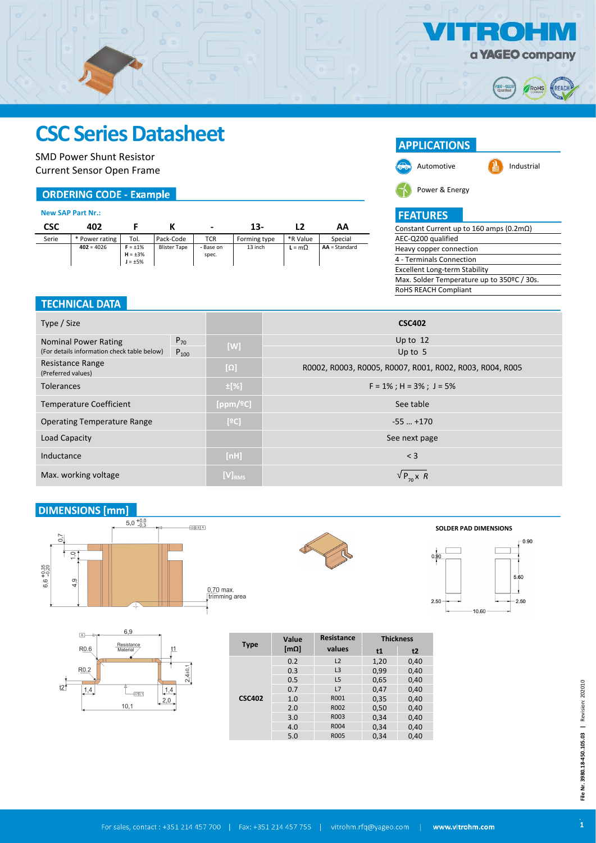

ROHS

REACI

 $\bullet$ 

 $\rightarrow$   $\lambda$ 

## **CSC Series Datasheet**

SMD Power Shunt Resistor Current Sensor Open Frame

### **ORDERING CODE - Example**

#### **New SAP Part Nr.:**

l.

| CSC   | 402            |                                                |                     | $\overline{\phantom{a}}$ | $13-$        |               | АΑ              |
|-------|----------------|------------------------------------------------|---------------------|--------------------------|--------------|---------------|-----------------|
| Serie | * Power rating | Tol.                                           | Pack-Code           | <b>TCR</b>               | Forming type | *R Value      | Special         |
|       | $402 = 4026$   | $F = \pm 1\%$<br>$H = \pm 3\%$<br>$J = \pm 5%$ | <b>Blister Tape</b> | - Base on<br>spec.       | 13 inch      | $L = m\Omega$ | $AA = Standard$ |

#### **TECHNICAL DATA**

| Type / Size                                 |           |              | <b>CSC402</b>                                            |  |
|---------------------------------------------|-----------|--------------|----------------------------------------------------------|--|
| <b>Nominal Power Rating</b>                 | $P_{70}$  |              | Up to $12$                                               |  |
| (For details information check table below) | $P_{100}$ | [W]          | Up to $5$                                                |  |
| Resistance Range<br>(Preferred values)      |           | $[\Omega]$   | R0002, R0003, R0005, R0007, R001, R002, R003, R004, R005 |  |
| <b>Tolerances</b>                           |           | $\pm$ [%]    | $F = 1\%$ ; H = 3%; J = 5%                               |  |
| <b>Temperature Coefficient</b>              |           | [ppm/ $°C$ ] | See table                                                |  |
| <b>Operating Temperature Range</b>          |           | [°C]         | $-55$ $+170$                                             |  |
| Load Capacity                               |           |              | See next page                                            |  |
| Inductance                                  |           | [nH]         | $<$ 3                                                    |  |
| Max. working voltage                        |           | $[V]_{RMS}$  | $VP_{\tau_0} \times R$                                   |  |

### **DIMENSIONS [mm]**











| <b>Type</b>   | Value | Resistance     | <b>Thickness</b> |      |  |
|---------------|-------|----------------|------------------|------|--|
|               | [mΩ]  | values         | t1               | t2   |  |
|               | 0.2   | L2             | 1,20             | 0,40 |  |
|               | 0.3   | L <sub>3</sub> | 0.99             | 0,40 |  |
|               | 0.5   | L <sub>5</sub> | 0,65             | 0,40 |  |
|               | 0.7   | L7             | 0.47             | 0,40 |  |
| <b>CSC402</b> | 1.0   | R001           | 0,35             | 0,40 |  |
|               | 2.0   | R002           | 0,50             | 0,40 |  |
|               | 3.0   | R003           | 0,34             | 0,40 |  |
|               | 4.0   | R004           | 0,34             | 0,40 |  |
|               | 5.0   | <b>R005</b>    | 0,34             | 0,40 |  |

## **FEATURES**

Power & Energy

**APPLICATIONS** 

| Constant Current up to 160 amps (0.2m $\Omega$ ) |
|--------------------------------------------------|
| AEC-Q200 qualified                               |
| Heavy copper connection                          |
| 4 - Terminals Connection                         |
| Excellent Long-term Stability                    |
| Max. Solder Temperature up to 350ºC / 30s.       |
| <b>RoHS REACH Compliant</b>                      |
|                                                  |

Automotive  $\begin{array}{ccc} \hline \mathbf{1} & \mathbf{0} \end{array}$  Industrial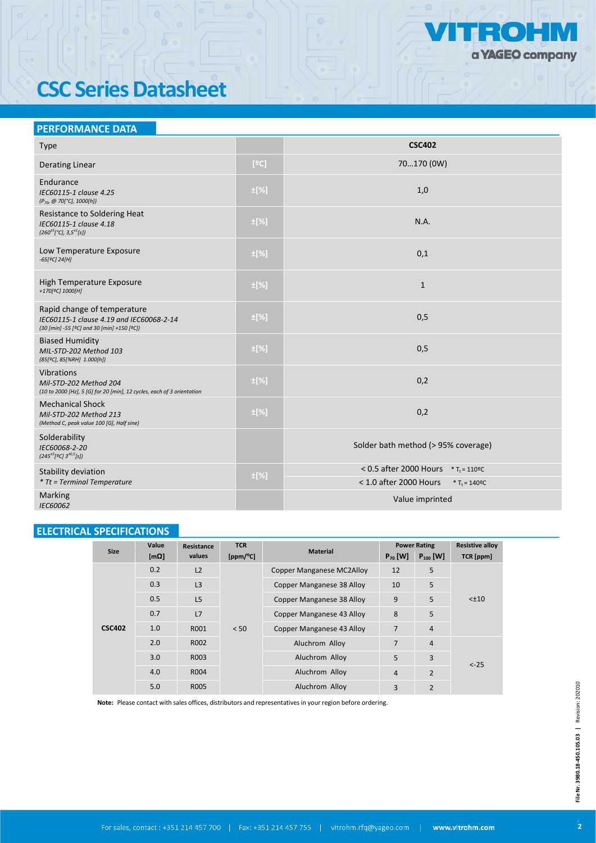

# **CSC Series Datasheet**

## **PERFORMANCE DATA**

| <b>Type</b>                                                                                                           |           | <b>CSC402</b>                                                |
|-----------------------------------------------------------------------------------------------------------------------|-----------|--------------------------------------------------------------|
| <b>Derating Linear</b>                                                                                                | [°C]      | 70170 (0W)                                                   |
| Endurance<br>IEC60115-1 clause 4.25<br>(P <sub>70</sub> @ 70[°C], 1000[h])                                            | ±[%]      | 1,0                                                          |
| Resistance to Soldering Heat<br>IEC60115-1 clause 4.18<br>$(260^{\pm 5} [^{\circ}C], 3.5^{\pm 1}[s])$                 | $\pm$ [%] | N.A.                                                         |
| Low Temperature Exposure<br>$-65[°C]$ 24[H]                                                                           | $\pm$ [%] | 0,1                                                          |
| High Temperature Exposure<br>+170[ <sup>o</sup> C] 1000[H]                                                            | $\pm$ [%] | $\mathbf{1}$                                                 |
| Rapid change of temperature<br>IEC60115-1 clause 4.19 and IEC60068-2-14<br>(30 [min] -55 [ºC] and 30 [min] +150 [ºC]) | ±[%]      | 0,5                                                          |
| <b>Biased Humidity</b><br>MIL-STD-202 Method 103<br>(85[ºC], 85[%RH] 1.000[h])                                        | ±[%]      | 0,5                                                          |
| Vibrations<br>Mil-STD-202 Method 204<br>(10 to 2000 [Hz], 5 [G] for 20 [min], 12 cycles, each of 3 orientation        | $\pm$ [%] | 0,2                                                          |
| <b>Mechanical Shock</b><br>Mil-STD-202 Method 213<br>(Method C, peak value 100 [G], Half sine)                        | $\pm$ [%] | 0,2                                                          |
| Solderability<br>IEC60068-2-20<br>$(245^{+5}[9C]3^{+0.5}[s])$                                                         |           | Solder bath method (> 95% coverage)                          |
| Stability deviation                                                                                                   | ±[%]      | < 0.5 after 2000 Hours $*T_t = 110^{\circ}C$                 |
| <i>* Tt = Terminal Temperature</i>                                                                                    |           | < 1.0 after 2000 Hours<br>* T <sub>t</sub> = $140^{\circ}$ C |
| <b>Marking</b><br>IEC60062                                                                                            |           | Value imprinted                                              |

## **ELECTRICAL SPECIFICATIONS**

|               | Value         | Resistance       | <b>TCR</b> |                                  | <b>Power Rating</b> |                | <b>Resistive alloy</b> |
|---------------|---------------|------------------|------------|----------------------------------|---------------------|----------------|------------------------|
| <b>Size</b>   | [ $m\Omega$ ] | values           | [ppm/°C]   | <b>Material</b>                  | $P_{70}$ [W]        | $P_{100}$ [W]  | TCR [ppm]              |
|               | 0.2           | L2               |            | <b>Copper Manganese MC2Alloy</b> | 12                  | 5              | $< \pm 10$             |
|               | 0.3           | L3               |            | Copper Manganese 38 Alloy        | 10                  | 5              |                        |
|               | 0.5           | L5               |            | <b>Copper Manganese 38 Alloy</b> | 9                   | 5              |                        |
|               | 0.7           | L7               |            | <b>Copper Manganese 43 Alloy</b> | 8                   | 5              |                        |
| <b>CSC402</b> | 1.0           | R001             | < 50       | <b>Copper Manganese 43 Alloy</b> | $\overline{7}$      | $\overline{4}$ |                        |
|               | 2.0           | R002             |            | Aluchrom Alloy                   | $\overline{7}$      | $\overline{4}$ |                        |
|               | 3.0           | R <sub>003</sub> |            | Aluchrom Alloy                   | 5                   | 3              | $< -25$                |
|               | 4.0           | R004             |            | Aluchrom Alloy                   | $\overline{4}$      | $\overline{2}$ |                        |
|               | 5.0           | R005             |            | Aluchrom Alloy                   | 3                   | $\overline{2}$ |                        |

Note: Please contact with sales offices, distributors and representatives in your region before ordering.